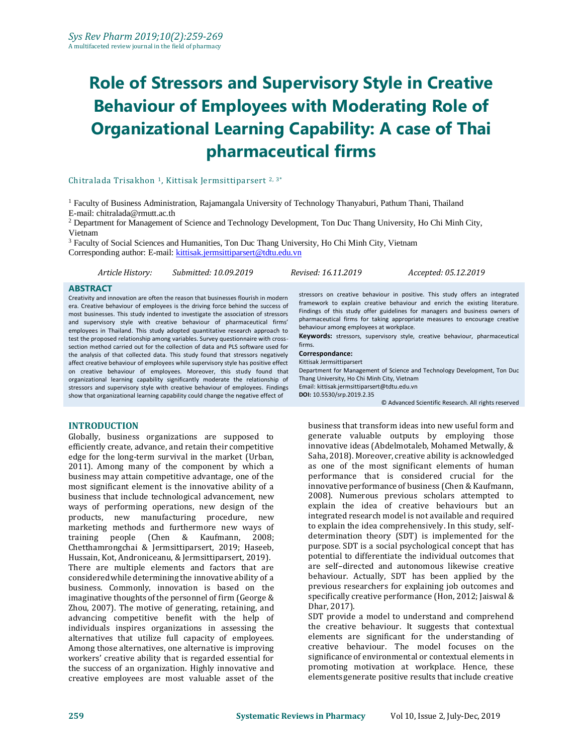# **Role of Stressors and Supervisory Style in Creative Behaviour of Employees with Moderating Role of Organizational Learning Capability: A case of Thai pharmaceutical firms**

#### Chitralada Trisakhon 1, Kittisak Jermsittiparsert 2, 3\*

<sup>1</sup> Faculty of Business Administration, Rajamangala University of Technology Thanyaburi, Pathum Thani, Thailand E-mail: chitralada@rmutt.ac.th

<sup>2</sup> Department for Management of Science and Technology Development, Ton Duc Thang University, Ho Chi Minh City, Vietnam

<sup>3</sup> Faculty of Social Sciences and Humanities, Ton Duc Thang University, Ho Chi Minh City, Vietnam Corresponding author: E-mail[: kittisak.jermsittiparsert@tdtu.edu.vn](mailto:kittisak.jermsittiparsert@tdtu.edu.vn)

*Article History: Submitted: 10.09.2019 Revised: 16.11.2019 Accepted: 05.12.2019*

#### **ABSTRACT**

Creativity and innovation are often the reason that businesses flourish in modern era. Creative behaviour of employees is the driving force behind the success of most businesses. This study indented to investigate the association of stressors and supervisory style with creative behaviour of pharmaceutical firms' employees in Thailand. This study adopted quantitative research approach to test the proposed relationship among variables. Survey questionnaire with crosssection method carried out for the collection of data and PLS software used for the analysis of that collected data. This study found that stressors negatively affect creative behaviour of employees while supervisory style has positive effect on creative behaviour of employees. Moreover, this study found that organizational learning capability significantly moderate the relationship of stressors and supervisory style with creative behaviour of employees. Findings show that organizational learning capability could change the negative effect of

#### **INTRODUCTION**

Globally, business organizations are supposed to efficiently create, advance, and retain their competitive edge for the long-term survival in the market (Urban, 2011). Among many of the component by which a business may attain competitive advantage, one of the most significant element is the innovative ability of a business that include technological advancement, new ways of performing operations, new design of the products, new manufacturing procedure, new marketing methods and furthermore new ways of training people (Chen & Kaufmann, 2008; Chetthamrongchai & Jermsittiparsert, 2019; Haseeb, Hussain, Kot, Androniceanu, & Jermsittiparsert, 2019). There are multiple elements and factors that are considered while determining the innovative ability of a business. Commonly, innovation is based on the imaginative thoughts of the personnel of firm (George & Zhou, 2007). The motive of generating, retaining, and advancing competitive benefit with the help of individuals inspires organizations in assessing the alternatives that utilize full capacity of employees. Among those alternatives, one alternative is improving workers' creative ability that is regarded essential for the success of an organization. Highly innovative and creative employees are most valuable asset of the

stressors on creative behaviour in positive. This study offers an integrated framework to explain creative behaviour and enrich the existing literature. Findings of this study offer guidelines for managers and business owners of pharmaceutical firms for taking appropriate measures to encourage creative behaviour among employees at workplace.

**Keywords:** stressors, supervisory style, creative behaviour, pharmaceutical firms.

#### **Correspondance:**

Kittisak Jermsittiparsert Department for Management of Science and Technology Development, Ton Duc

Thang University, Ho Chi Minh City, Vietnam

Email: kittisak.jermsittiparsert@tdtu.edu.vn **DOI:** [10.5530/srp.2019.2.35](http://dx.doi.org/10.5530/srp.2019.2.04)

© Advanced Scientific Research. All rights reserved

business that transform ideas into new useful form and generate valuable outputs by employing those innovative ideas (Abdelmotaleb, Mohamed Metwally, & Saha, 2018). Moreover, creative ability is acknowledged as one of the most significant elements of human performance that is considered crucial for the innovative performance of business (Chen & Kaufmann, 2008). Numerous previous scholars attempted to explain the idea of creative behaviours but an integrated research model is not available and required to explain the idea comprehensively. In this study, selfdetermination theory (SDT) is implemented for the purpose. SDT is a social psychological concept that has potential to differentiate the individual outcomes that are self–directed and autonomous likewise creative behaviour. Actually, SDT has been applied by the previous researchers for explaining job outcomes and specifically creative performance (Hon, 2012; Jaiswal & Dhar, 2017).

SDT provide a model to understand and comprehend the creative behaviour. It suggests that contextual elements are significant for the understanding of creative behaviour. The model focuses on the significance of environmental or contextual elements in promoting motivation at workplace. Hence, these elements generate positive results that include creative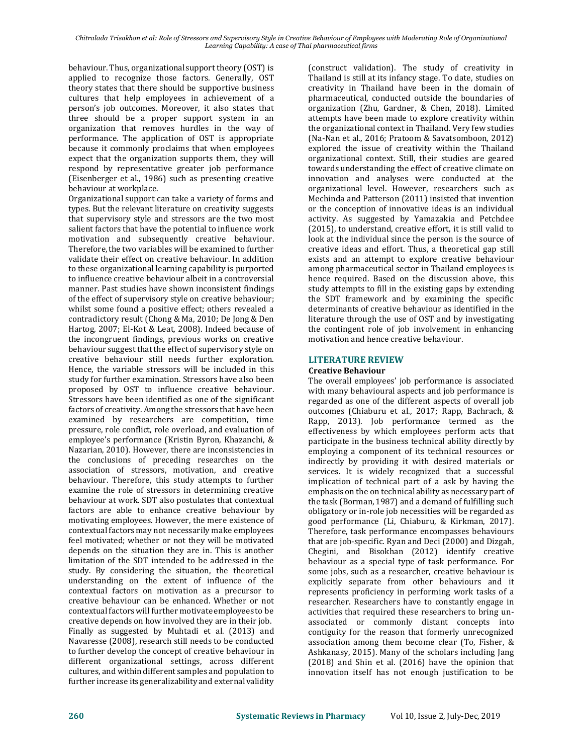behaviour. Thus, organizational support theory (OST) is applied to recognize those factors. Generally, OST theory states that there should be supportive business cultures that help employees in achievement of a person's job outcomes. Moreover, it also states that three should be a proper support system in an organization that removes hurdles in the way of performance. The application of OST is appropriate because it commonly proclaims that when employees expect that the organization supports them, they will respond by representative greater job performance (Eisenberger et al., 1986) such as presenting creative behaviour at workplace.

Organizational support can take a variety of forms and types. But the relevant literature on creativity suggests that supervisory style and stressors are the two most salient factors that have the potential to influence work motivation and subsequently creative behaviour. Therefore, the two variables will be examined to further validate their effect on creative behaviour. In addition to these organizational learning capability is purported to influence creative behaviour albeit in a controversial manner. Past studies have shown inconsistent findings of the effect of supervisory style on creative behaviour; whilst some found a positive effect; others revealed a contradictory result (Chong & Ma, 2010; De Jong & Den Hartog, 2007; El-Kot & Leat, 2008). Indeed because of the incongruent findings, previous works on creative behaviour suggest that the effect of supervisory style on creative behaviour still needs further exploration. Hence, the variable stressors will be included in this study for further examination. Stressors have also been proposed by OST to influence creative behaviour. Stressors have been identified as one of the significant factors of creativity. Among the stressors that have been examined by researchers are competition, time pressure, role conflict, role overload, and evaluation of employee's performance (Kristin Byron, Khazanchi, & Nazarian, 2010). However, there are inconsistencies in the conclusions of preceding researches on the association of stressors, motivation, and creative behaviour. Therefore, this study attempts to further examine the role of stressors in determining creative behaviour at work. SDT also postulates that contextual factors are able to enhance creative behaviour by motivating employees. However, the mere existence of contextual factors may not necessarily make employees feel motivated; whether or not they will be motivated depends on the situation they are in. This is another limitation of the SDT intended to be addressed in the study. By considering the situation, the theoretical understanding on the extent of influence of the contextual factors on motivation as a precursor to creative behaviour can be enhanced. Whether or not contextual factors will further motivate employees to be creative depends on how involved they are in their job. Finally as suggested by Muhtadi et al. (2013) and Navaresse (2008), research still needs to be conducted to further develop the concept of creative behaviour in different organizational settings, across different cultures, and within different samples and population to further increase its generalizability and external validity

(construct validation). The study of creativity in Thailand is still at its infancy stage. To date, studies on creativity in Thailand have been in the domain of pharmaceutical, conducted outside the boundaries of organization (Zhu, Gardner, & Chen, 2018). Limited attempts have been made to explore creativity within the organizational context in Thailand. Very few studies (Na-Nan et al., 2016; Pratoom & Savatsomboon, 2012) explored the issue of creativity within the Thailand organizational context. Still, their studies are geared towards understanding the effect of creative climate on innovation and analyses were conducted at the organizational level. However, researchers such as Mechinda and Patterson (2011) insisted that invention or the conception of innovative ideas is an individual activity. As suggested by Yamazakia and Petchdee (2015), to understand, creative effort, it is still valid to look at the individual since the person is the source of creative ideas and effort. Thus, a theoretical gap still exists and an attempt to explore creative behaviour among pharmaceutical sector in Thailand employees is hence required. Based on the discussion above, this study attempts to fill in the existing gaps by extending the SDT framework and by examining the specific determinants of creative behaviour as identified in the literature through the use of OST and by investigating the contingent role of job involvement in enhancing motivation and hence creative behaviour.

## **LITERATURE REVIEW**

#### **Creative Behaviour**

The overall employees' job performance is associated with many behavioural aspects and job performance is regarded as one of the different aspects of overall job outcomes (Chiaburu et al., 2017; Rapp, Bachrach, & Rapp, 2013). Job performance termed as the effectiveness by which employees perform acts that participate in the business technical ability directly by employing a component of its technical resources or indirectly by providing it with desired materials or services. It is widely recognized that a successful implication of technical part of a ask by having the emphasis on the on technical ability as necessary part of the task (Borman, 1987) and a demand of fulfilling such obligatory or in-role job necessities will be regarded as good performance (Li, Chiaburu, & Kirkman, 2017). Therefore, task performance encompasses behaviours that are job-specific. Ryan and Deci (2000) and Dizgah, Chegini, and Bisokhan (2012) identify creative behaviour as a special type of task performance. For some jobs, such as a researcher, creative behaviour is explicitly separate from other behaviours and it represents proficiency in performing work tasks of a researcher. Researchers have to constantly engage in activities that required these researchers to bring unassociated or commonly distant concepts into contiguity for the reason that formerly unrecognized association among them become clear (To, Fisher, & Ashkanasy, 2015). Many of the scholars including Jang (2018) and Shin et al. (2016) have the opinion that innovation itself has not enough justification to be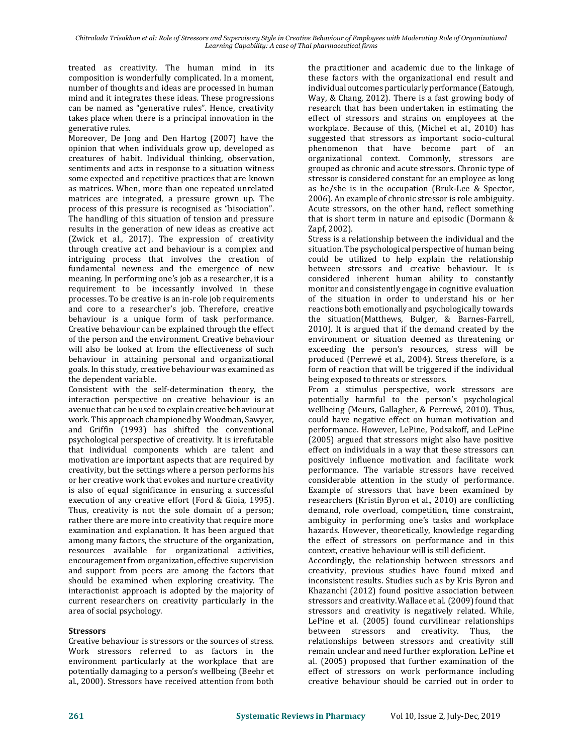*Chitralada Trisakhon et al: Role of Stressors and Supervisory Style in Creative Behaviour of Employees with Moderating Role of Organizational Learning Capability: A case of Thai pharmaceutical firms*

treated as creativity. The human mind in its composition is wonderfully complicated. In a moment, number of thoughts and ideas are processed in human mind and it integrates these ideas. These progressions can be named as "generative rules". Hence, creativity takes place when there is a principal innovation in the generative rules.

Moreover, De Jong and Den Hartog (2007) have the opinion that when individuals grow up, developed as creatures of habit. Individual thinking, observation, sentiments and acts in response to a situation witness some expected and repetitive practices that are known as matrices. When, more than one repeated unrelated matrices are integrated, a pressure grown up. The process of this pressure is recognised as "bisociation". The handling of this situation of tension and pressure results in the generation of new ideas as creative act (Zwick et al., 2017). The expression of creativity through creative act and behaviour is a complex and intriguing process that involves the creation of fundamental newness and the emergence of new meaning. In performing one's job as a researcher, it is a requirement to be incessantly involved in these processes. To be creative is an in-role job requirements and core to a researcher's job. Therefore, creative behaviour is a unique form of task performance. Creative behaviour can be explained through the effect of the person and the environment. Creative behaviour will also be looked at from the effectiveness of such behaviour in attaining personal and organizational goals. In this study, creative behaviour was examined as the dependent variable.

Consistent with the self-determination theory, the interaction perspective on creative behaviour is an avenue that can be used to explain creative behaviourat work. This approach championed by Woodman, Sawyer, and Griffin (1993) has shifted the conventional psychological perspective of creativity. It is irrefutable that individual components which are talent and motivation are important aspects that are required by creativity, but the settings where a person performs his or her creative work that evokes and nurture creativity is also of equal significance in ensuring a successful execution of any creative effort (Ford & Gioia, 1995). Thus, creativity is not the sole domain of a person; rather there are more into creativity that require more examination and explanation. It has been argued that among many factors, the structure of the organization, resources available for organizational activities, encouragement from organization, effective supervision and support from peers are among the factors that should be examined when exploring creativity. The interactionist approach is adopted by the majority of current researchers on creativity particularly in the area of social psychology.

#### **Stressors**

Creative behaviour is stressors or the sources of stress. Work stressors referred to as factors in the environment particularly at the workplace that are potentially damaging to a person's wellbeing (Beehr et al., 2000). Stressors have received attention from both

the practitioner and academic due to the linkage of these factors with the organizational end result and individual outcomes particularly performance (Eatough, Way, & Chang, 2012). There is a fast growing body of research that has been undertaken in estimating the effect of stressors and strains on employees at the workplace. Because of this, (Michel et al., 2010) has suggested that stressors as important socio-cultural phenomenon that have become part of an organizational context. Commonly, stressors are grouped as chronic and acute stressors. Chronic type of stressor is considered constant for an employee as long as he/she is in the occupation (Bruk-Lee & Spector, 2006). An example of chronic stressor is role ambiguity. Acute stressors, on the other hand, reflect something that is short term in nature and episodic (Dormann & Zapf, 2002).

Stress is a relationship between the individual and the situation. The psychological perspective of human being could be utilized to help explain the relationship between stressors and creative behaviour. It is considered inherent human ability to constantly monitor and consistently engage in cognitive evaluation of the situation in order to understand his or her reactions both emotionally and psychologically towards the situation(Matthews, Bulger, & Barnes-Farrell, 2010). It is argued that if the demand created by the environment or situation deemed as threatening or exceeding the person's resources, stress will be produced (Perrewé et al., 2004). Stress therefore, is a form of reaction that will be triggered if the individual being exposed to threats or stressors.

From a stimulus perspective, work stressors are potentially harmful to the person's psychological wellbeing (Meurs, Gallagher, & Perrewé, 2010). Thus, could have negative effect on human motivation and performance. However, LePine, Podsakoff, and LePine (2005) argued that stressors might also have positive effect on individuals in a way that these stressors can positively influence motivation and facilitate work performance. The variable stressors have received considerable attention in the study of performance. Example of stressors that have been examined by researchers (Kristin Byron et al., 2010) are conflicting demand, role overload, competition, time constraint, ambiguity in performing one's tasks and workplace hazards. However, theoretically, knowledge regarding the effect of stressors on performance and in this context, creative behaviour will is still deficient.

Accordingly, the relationship between stressors and creativity, previous studies have found mixed and inconsistent results. Studies such as by Kris Byron and Khazanchi (2012) found positive association between stressors and creativity. Wallace et al. (2009) found that stressors and creativity is negatively related. While, LePine et al. (2005) found curvilinear relationships between stressors and creativity. Thus, the relationships between stressors and creativity still remain unclear and need further exploration. LePine et al. (2005) proposed that further examination of the effect of stressors on work performance including creative behaviour should be carried out in order to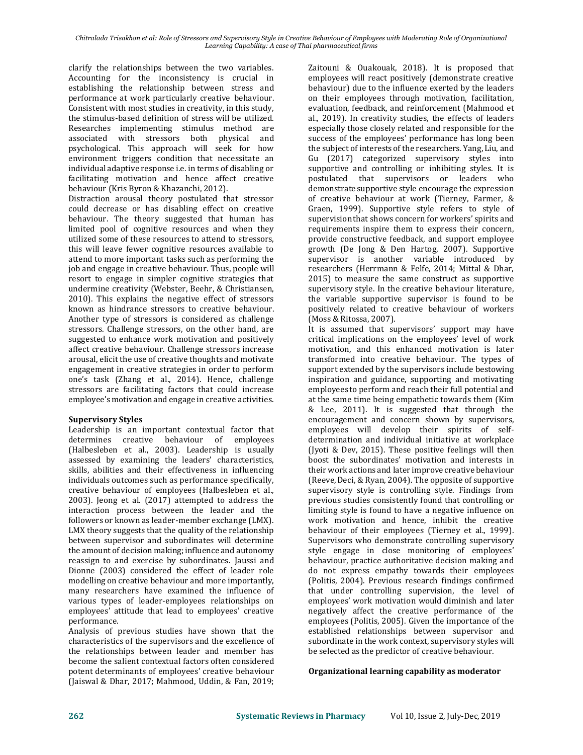clarify the relationships between the two variables. Accounting for the inconsistency is crucial in establishing the relationship between stress and performance at work particularly creative behaviour. Consistent with most studies in creativity, in this study, the stimulus-based definition of stress will be utilized. Researches implementing stimulus method are associated with stressors both physical and psychological. This approach will seek for how environment triggers condition that necessitate an individual adaptive response i.e. in terms of disabling or facilitating motivation and hence affect creative behaviour (Kris Byron & Khazanchi, 2012).

Distraction arousal theory postulated that stressor could decrease or has disabling effect on creative behaviour. The theory suggested that human has limited pool of cognitive resources and when they utilized some of these resources to attend to stressors, this will leave fewer cognitive resources available to attend to more important tasks such as performing the job and engage in creative behaviour. Thus, people will resort to engage in simpler cognitive strategies that undermine creativity (Webster, Beehr, & Christiansen, 2010). This explains the negative effect of stressors known as hindrance stressors to creative behaviour. Another type of stressors is considered as challenge stressors. Challenge stressors, on the other hand, are suggested to enhance work motivation and positively affect creative behaviour. Challenge stressors increase arousal, elicit the use of creative thoughts and motivate engagement in creative strategies in order to perform one's task (Zhang et al., 2014). Hence, challenge stressors are facilitating factors that could increase employee's motivation and engage in creative activities.

#### **Supervisory Styles**

Leadership is an important contextual factor that determines creative behaviour of employees (Halbesleben et al., 2003). Leadership is usually assessed by examining the leaders' characteristics, skills, abilities and their effectiveness in influencing individuals outcomes such as performance specifically, creative behaviour of employees (Halbesleben et al., 2003). Jeong et al. (2017) attempted to address the interaction process between the leader and the followers or known as leader-member exchange (LMX). LMX theory suggests that the quality of the relationship between supervisor and subordinates will determine the amount of decision making; influence and autonomy reassign to and exercise by subordinates. Jaussi and Dionne (2003) considered the effect of leader role modelling on creative behaviour and more importantly, many researchers have examined the influence of various types of leader-employees relationships on employees' attitude that lead to employees' creative performance.

Analysis of previous studies have shown that the characteristics of the supervisors and the excellence of the relationships between leader and member has become the salient contextual factors often considered potent determinants of employees' creative behaviour (Jaiswal & Dhar, 2017; Mahmood, Uddin, & Fan, 2019;

Zaitouni & Ouakouak, 2018). It is proposed that employees will react positively (demonstrate creative behaviour) due to the influence exerted by the leaders on their employees through motivation, facilitation, evaluation, feedback, and reinforcement (Mahmood et al., 2019). In creativity studies, the effects of leaders especially those closely related and responsible for the success of the employees' performance has long been the subject of interests of the researchers. Yang, Liu, and Gu (2017) categorized supervisory styles into supportive and controlling or inhibiting styles. It is postulated that supervisors or leaders who demonstrate supportive style encourage the expression of creative behaviour at work (Tierney, Farmer, & Graen, 1999). Supportive style refers to style of supervision that shows concern for workers' spirits and requirements inspire them to express their concern, provide constructive feedback, and support employee growth (De Jong & Den Hartog, 2007). Supportive supervisor is another variable introduced by researchers (Herrmann & Felfe, 2014; Mittal & Dhar, 2015) to measure the same construct as supportive supervisory style. In the creative behaviour literature, the variable supportive supervisor is found to be positively related to creative behaviour of workers (Moss & Ritossa, 2007).

It is assumed that supervisors' support may have critical implications on the employees' level of work motivation, and this enhanced motivation is later transformed into creative behaviour. The types of support extended by the supervisors include bestowing inspiration and guidance, supporting and motivating employees to perform and reach their full potential and at the same time being empathetic towards them (Kim & Lee, 2011). It is suggested that through the encouragement and concern shown by supervisors, employees will develop their spirits of selfdetermination and individual initiative at workplace (Jyoti & Dev, 2015). These positive feelings will then boost the subordinates' motivation and interests in their work actions and later improve creative behaviour (Reeve, Deci, & Ryan, 2004). The opposite of supportive supervisory style is controlling style. Findings from previous studies consistently found that controlling or limiting style is found to have a negative influence on work motivation and hence, inhibit the creative behaviour of their employees (Tierney et al., 1999). Supervisors who demonstrate controlling supervisory style engage in close monitoring of employees' behaviour, practice authoritative decision making and do not express empathy towards their employees (Politis, 2004). Previous research findings confirmed that under controlling supervision, the level of employees' work motivation would diminish and later negatively affect the creative performance of the employees (Politis, 2005). Given the importance of the established relationships between supervisor and subordinate in the work context, supervisory styles will be selected as the predictor of creative behaviour.

### **Organizational learning capability as moderator**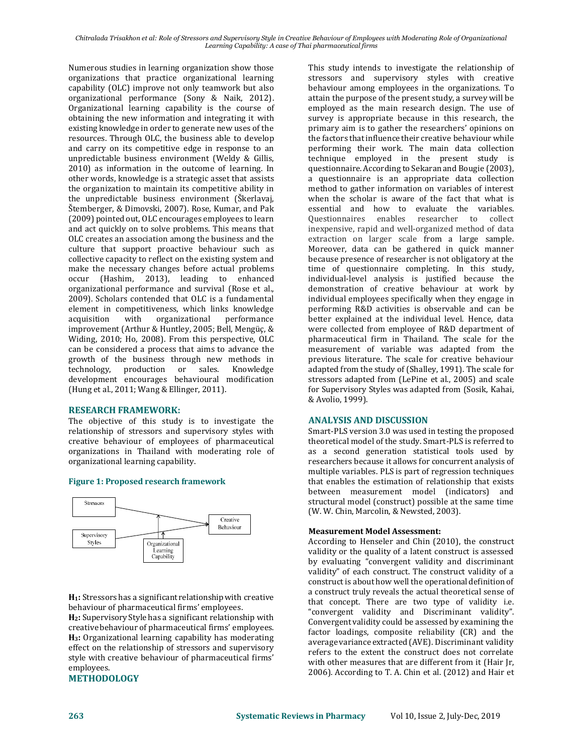Numerous studies in learning organization show those organizations that practice organizational learning capability (OLC) improve not only teamwork but also organizational performance (Sony & Naik, 2012). Organizational learning capability is the course of obtaining the new information and integrating it with existing knowledge in order to generate new uses of the resources. Through OLC, the business able to develop and carry on its competitive edge in response to an unpredictable business environment (Weldy & Gillis, 2010) as information in the outcome of learning. In other words, knowledge is a strategic asset that assists the organization to maintain its competitive ability in the unpredictable business environment (Škerlavaj, Štemberger, & Dimovski, 2007). Rose, Kumar, and Pak (2009) pointed out, OLC encourages employees to learn and act quickly on to solve problems. This means that OLC creates an association among the business and the culture that support proactive behaviour such as collective capacity to reflect on the existing system and make the necessary changes before actual problems occur (Hashim, 2013), leading to enhanced organizational performance and survival (Rose et al., 2009). Scholars contended that OLC is a fundamental element in competitiveness, which links knowledge acquisition with organizational performance improvement (Arthur & Huntley, 2005; Bell, Mengüç, & Widing, 2010; Ho, 2008). From this perspective, OLC can be considered a process that aims to advance the growth of the business through new methods in technology, production or sales. Knowledge development encourages behavioural modification (Hung et al., 2011; Wang & Ellinger, 2011).

#### **RESEARCH FRAMEWORK:**

The objective of this study is to investigate the relationship of stressors and supervisory styles with creative behaviour of employees of pharmaceutical organizations in Thailand with moderating role of organizational learning capability.

#### **Figure 1: Proposed research framework**



**H1:** Stressors has a significant relationship with creative behaviour of pharmaceutical firms' employees.

**H2:** Supervisory Style has a significant relationship with creative behaviour of pharmaceutical firms' employees. **H3:** Organizational learning capability has moderating effect on the relationship of stressors and supervisory style with creative behaviour of pharmaceutical firms' employees.

#### **METHODOLOGY**

This study intends to investigate the relationship of stressors and supervisory styles with creative behaviour among employees in the organizations. To attain the purpose of the present study, a survey will be employed as the main research design. The use of survey is appropriate because in this research, the primary aim is to gather the researchers' opinions on the factors that influence their creative behaviour while performing their work. The main data collection technique employed in the present study is questionnaire. According to Sekaran and Bougie (2003), a questionnaire is an appropriate data collection method to gather information on variables of interest when the scholar is aware of the fact that what is essential and how to evaluate the variables. Questionnaires enables researcher to collect inexpensive, rapid and well-organized method of data extraction on larger scale from a large sample. Moreover, data can be gathered in quick manner because presence of researcher is not obligatory at the time of questionnaire completing. In this study, individual-level analysis is justified because the demonstration of creative behaviour at work by individual employees specifically when they engage in performing R&D activities is observable and can be better explained at the individual level. Hence, data were collected from employee of R&D department of pharmaceutical firm in Thailand. The scale for the measurement of variable was adapted from the previous literature. The scale for creative behaviour adapted from the study of (Shalley, 1991). The scale for stressors adapted from (LePine et al., 2005) and scale for Supervisory Styles was adapted from (Sosik, Kahai, & Avolio, 1999).

#### **ANALYSIS AND DISCUSSION**

Smart-PLS version 3.0 was used in testing the proposed theoretical model of the study. Smart-PLS is referred to as a second generation statistical tools used by researchers because it allows for concurrent analysis of multiple variables. PLS is part of regression techniques that enables the estimation of relationship that exists between measurement model (indicators) and structural model (construct) possible at the same time (W. W. Chin, Marcolin, & Newsted, 2003).

#### **Measurement Model Assessment:**

According to Henseler and Chin (2010), the construct validity or the quality of a latent construct is assessed by evaluating "convergent validity and discriminant validity" of each construct. The construct validity of a construct is about how well the operational definition of a construct truly reveals the actual theoretical sense of that concept. There are two type of validity i.e. "convergent validity and Discriminant validity". Convergent validity could be assessed by examining the factor loadings, composite reliability (CR) and the averagevariance extracted (AVE). Discriminant validity refers to the extent the construct does not correlate with other measures that are different from it (Hair Jr, 2006). According to T. A. Chin et al. (2012) and Hair et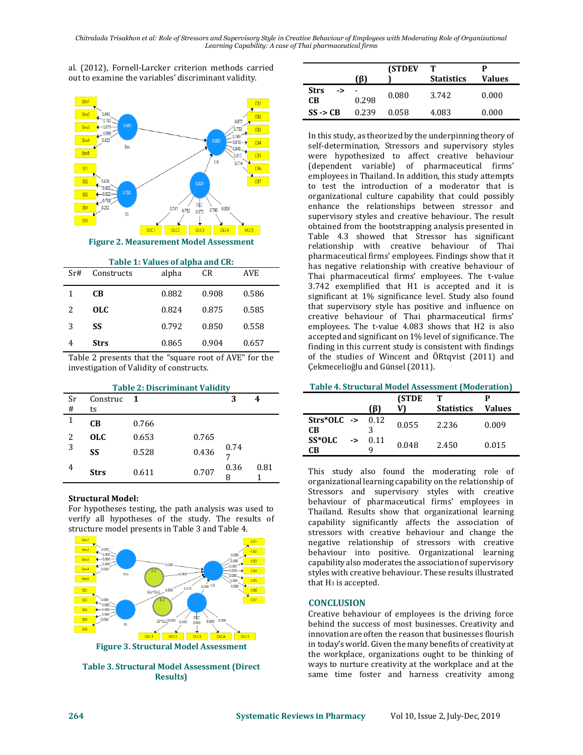al. (2012), Fornell-Larcker criterion methods carried out to examine the variables' discriminant validity.



**Figure 2. Measurement Model Assessment**

|     |            | Table 1: Values of alpha and CR: |       |            |
|-----|------------|----------------------------------|-------|------------|
| Sr# | Constructs | alpha                            | CR    | <b>AVE</b> |
|     | CB.        | 0.882                            | 0.908 | 0.586      |
| 2   | OLC.       | 0.824                            | 0.875 | 0.585      |
| 3   | SS         | 0.792                            | 0.850 | 0.558      |
|     | Strs       | 0.865                            | 0.904 | 0.657      |

Table 2 presents that the "square root of AVE" for the investigation of Validity of constructs.

| <b>Table 2: Discriminant Validity</b> |             |              |       |      |      |  |
|---------------------------------------|-------------|--------------|-------|------|------|--|
| Sr                                    | Construc    | $\mathbf{1}$ |       | 3    |      |  |
| #                                     | ts          |              |       |      |      |  |
| 1                                     | CВ          | 0.766        |       |      |      |  |
| 2<br>$\overline{3}$                   | <b>OLC</b>  | 0.653        | 0.765 | 0.74 |      |  |
|                                       | SS          | 0.528        | 0.436 |      |      |  |
| 4                                     | <b>Strs</b> | 0.611        | 0.707 | 0.36 | 0.81 |  |

#### **Structural Model:**

For hypotheses testing, the path analysis was used to verify all hypotheses of the study. The results of structure model presents in Table 3 and Table 4.



**Figure 3. Structural Model Assessment**

**Table 3. Structural Model Assessment (Direct Results)** 

|                         | (B)   | <b>(STDEV)</b> | т<br><b>Statistics</b> | P<br>Values |
|-------------------------|-------|----------------|------------------------|-------------|
| <b>Strs</b><br>-><br>CВ | 0.298 | 0.080          | 3.742                  | 0.000       |
| $SS \rightarrow CB$     | 0.239 | 0.058          | 4.083                  | 0.000       |

In this study, as theorized by the underpinning theory of self-determination, Stressors and supervisory styles were hypothesized to affect creative behaviour (dependent variable) of pharmaceutical firms' employees in Thailand. In addition, this study attempts to test the introduction of a moderator that is organizational culture capability that could possibly enhance the relationships between stressor and supervisory styles and creative behaviour. The result obtained from the bootstrapping analysis presented in Table 4.3 showed that Stressor has significant relationship with creative behaviour of Thai pharmaceutical firms' employees. Findings show that it has negative relationship with creative behaviour of Thai pharmaceutical firms' employees. The t-value 3.742 exemplified that H1 is accepted and it is significant at 1% significance level. Study also found that supervisory style has positive and influence on creative behaviour of Thai pharmaceutical firms' employees. The t-value 4.083 shows that H2 is also accepted and significant on 1% level of significance. The finding in this current study is consistent with findings of the studies of Wincent and ÖRtqvist (2011) and Çekmecelioğlu and Günsel (2011).

#### **Table 4. Structural Model Assessment (Moderation)**

|                     |    | (ß)       | <b>(STDE</b> | <b>Statistics</b> | Values |
|---------------------|----|-----------|--------------|-------------------|--------|
| $Strs*OLC$ -><br>CВ |    | 0.12      | 0.055        | 2.236             | 0.009  |
| SS*OLC<br>CВ        | -> | 0.11<br>q | 0.048        | 2.450             | 0.015  |

This study also found the moderating role of organizational learning capability on the relationship of Stressors and supervisory styles with creative behaviour of pharmaceutical firms' employees in Thailand. Results show that organizational learning capability significantly affects the association of stressors with creative behaviour and change the negative relationship of stressors with creative behaviour into positive. Organizational learning capability also moderates the association of supervisory styles with creative behaviour. These results illustrated that  $H_3$  is accepted.

#### **CONCLUSION**

Creative behaviour of employees is the driving force behind the success of most businesses. Creativity and innovation are often the reason that businesses flourish in today's world. Given the many benefits of creativity at the workplace, organizations ought to be thinking of ways to nurture creativity at the workplace and at the same time foster and harness creativity among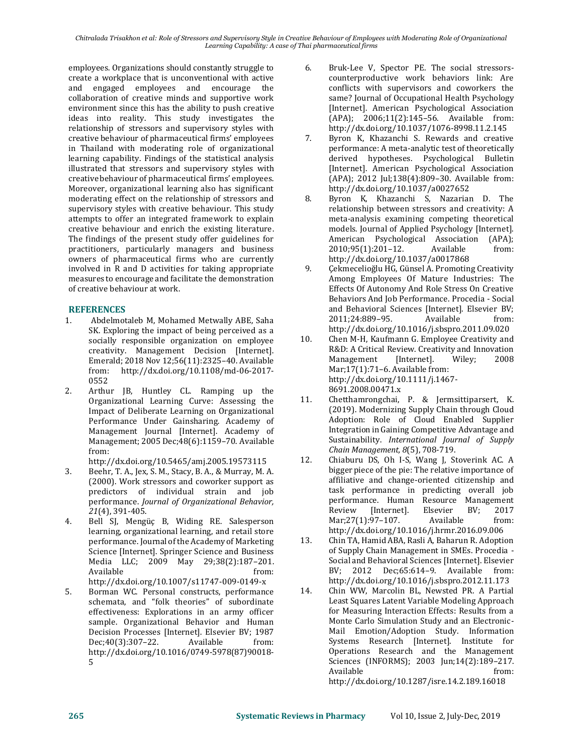*Chitralada Trisakhon et al: Role of Stressors and Supervisory Style in Creative Behaviour of Employees with Moderating Role of Organizational Learning Capability: A case of Thai pharmaceutical firms*

employees. Organizations should constantly struggle to create a workplace that is unconventional with active and engaged employees and encourage the collaboration of creative minds and supportive work environment since this has the ability to push creative ideas into reality. This study investigates the relationship of stressors and supervisory styles with creative behaviour of pharmaceutical firms' employees in Thailand with moderating role of organizational learning capability. Findings of the statistical analysis illustrated that stressors and supervisory styles with creative behaviour of pharmaceutical firms' employees. Moreover, organizational learning also has significant moderating effect on the relationship of stressors and supervisory styles with creative behaviour. This study attempts to offer an integrated framework to explain creative behaviour and enrich the existing literature. The findings of the present study offer guidelines for practitioners, particularly managers and business owners of pharmaceutical firms who are currently involved in R and D activities for taking appropriate measures to encourage and facilitate the demonstration of creative behaviour at work.

#### **REFERENCES**

- 1. Abdelmotaleb M, Mohamed Metwally ABE, Saha SK. Exploring the impact of being perceived as a socially responsible organization on employee creativity. Management Decision [Internet]. Emerald; 2018 Nov 12;56(11):2325–40. Available from: http://dx.doi.org/10.1108/md-06-2017- 0552
- 2. Arthur JB, Huntley CL. Ramping up the Organizational Learning Curve: Assessing the Impact of Deliberate Learning on Organizational Performance Under Gainsharing. Academy of Management Journal [Internet]. Academy of Management; 2005 Dec;48(6):1159–70. Available from:
	- http://dx.doi.org/10.5465/amj.2005.19573115
- 3. Beehr, T. A., Jex, S. M., Stacy, B. A., & Murray, M. A. (2000). Work stressors and coworker support as predictors of individual strain and job performance. *Journal of Organizational Behavior, 21*(4), 391-405.
- 4. Bell SJ, Mengüç B, Widing RE. Salesperson learning, organizational learning, and retail store performance. Journal of the Academy of Marketing Science [Internet]. Springer Science and Business Media LLC; 2009 May 29;38(2):187–201. Available from: http://dx.doi.org/10.1007/s11747-009-0149-x
- 5. Borman WC. Personal constructs, performance schemata, and "folk theories" of subordinate effectiveness: Explorations in an army officer sample. Organizational Behavior and Human Decision Processes [Internet]. Elsevier BV; 1987 Dec;40(3):307–22. Available from: http://dx.doi.org/10.1016/0749-5978(87)90018- 5
- 6. Bruk-Lee V, Spector PE. The social stressorscounterproductive work behaviors link: Are conflicts with supervisors and coworkers the same? Journal of Occupational Health Psychology [Internet]. American Psychological Association (APA); 2006;11(2):145–56. Available from: http://dx.doi.org/10.1037/1076-8998.11.2.145
- 7. Byron K, Khazanchi S. Rewards and creative performance: A meta-analytic test of theoretically derived hypotheses. Psychological Bulletin [Internet]. American Psychological Association (APA); 2012 Jul;138(4):809–30. Available from: http://dx.doi.org/10.1037/a0027652
- 8. Byron K, Khazanchi S, Nazarian D. The relationship between stressors and creativity: A meta-analysis examining competing theoretical models. Journal of Applied Psychology [Internet]. American Psychological Association (APA); 2010;95(1):201–12. Available from: http://dx.doi.org/10.1037/a0017868
- 9. Çekmecelioğlu HG, Günsel A. Promoting Creativity Among Employees Of Mature Industries: The Effects Of Autonomy And Role Stress On Creative Behaviors And Job Performance. Procedia - Social and Behavioral Sciences [Internet]. Elsevier BV; 2011;24:889–95. Available from: http://dx.doi.org/10.1016/j.sbspro.2011.09.020
- 10. Chen M-H, Kaufmann G. Employee Creativity and R&D: A Critical Review. Creativity and Innovation Management [Internet]. Wiley; 2008 Mar;17(1):71-6. Available from: http://dx.doi.org/10.1111/j.1467- 8691.2008.00471.x
- 11. Chetthamrongchai, P. & Jermsittiparsert, K. (2019). Modernizing Supply Chain through Cloud Adoption: Role of Cloud Enabled Supplier Integration in Gaining Competitive Advantage and Sustainability. *International Journal of Supply Chain Management, 8*(5), 708-719.
- 12. Chiaburu DS, Oh I-S, Wang J, Stoverink AC. A bigger piece of the pie: The relative importance of affiliative and change-oriented citizenship and task performance in predicting overall job performance. Human Resource Management<br>Review [Internet]. Elsevier BV: 2017 Review [Internet]. Elsevier BV; 2017 Mar; 27(1): 97-107. Available from: http://dx.doi.org/10.1016/j.hrmr.2016.09.006
- 13. Chin TA, Hamid ABA, Rasli A, Baharun R. Adoption of Supply Chain Management in SMEs. Procedia - Social and Behavioral Sciences [Internet]. Elsevier BV; 2012 Dec;65:614–9. Available from: http://dx.doi.org/10.1016/j.sbspro.2012.11.173
- 14. Chin WW, Marcolin BL, Newsted PR. A Partial Least Squares Latent Variable Modeling Approach for Measuring Interaction Effects: Results from a Monte Carlo Simulation Study and an Electronic-Mail Emotion/Adoption Study. Information Systems Research [Internet]. Institute for Operations Research and the Management Sciences (INFORMS); 2003 Jun;14(2):189–217. Available from:

http://dx.doi.org/10.1287/isre.14.2.189.16018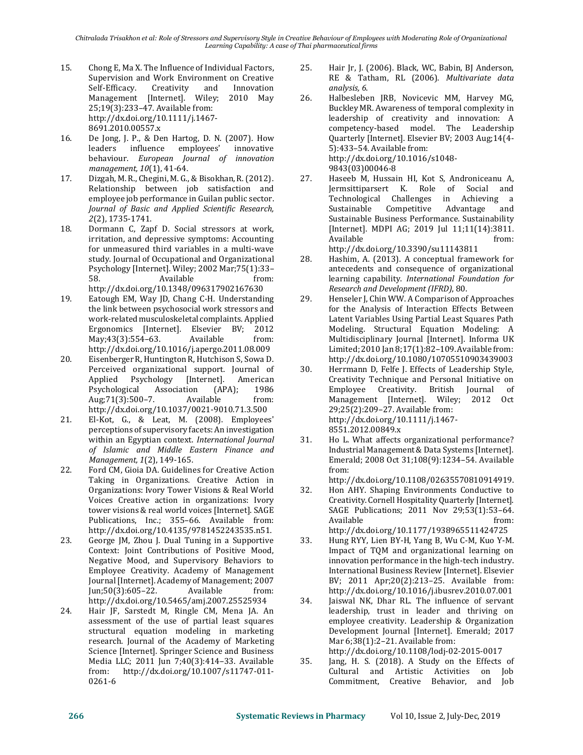*Chitralada Trisakhon et al: Role of Stressors and Supervisory Style in Creative Behaviour of Employees with Moderating Role of Organizational Learning Capability: A case of Thai pharmaceutical firms*

- 15. Chong E, Ma X. The Influence of Individual Factors, Supervision and Work Environment on Creative Self-Efficacy. Creativity and Innovation Management [Internet]. Wiley; 2010 May 25;19(3):233–47. Available from: http://dx.doi.org/10.1111/j.1467- 8691.2010.00557.x
- 16. De Jong, J. P., & Den Hartog, D. N. (2007). How leaders influence employees' innovative behaviour. *European Journal of innovation management, 10*(1), 41-64.
- 17. Dizgah, M. R., Chegini, M. G., & Bisokhan, R. (2012). Relationship between job satisfaction and employee job performance in Guilan public sector. *Journal of Basic and Applied Scientific Research, 2*(2), 1735-1741.
- 18. Dormann C, Zapf D. Social stressors at work, irritation, and depressive symptoms: Accounting for unmeasured third variables in a multi-wave study. Journal of Occupational and Organizational Psychology [Internet]. Wiley; 2002 Mar;75(1):33– 58. Available from: http://dx.doi.org/10.1348/096317902167630
- 19. Eatough EM, Way JD, Chang C-H. Understanding the link between psychosocial work stressors and work-related musculoskeletal complaints. Applied Ergonomics [Internet]. Elsevier BV; 2012 May;43(3):554–63. Available from: http://dx.doi.org/10.1016/j.apergo.2011.08.009
- 20. Eisenberger R, Huntington R, Hutchison S, Sowa D. Perceived organizational support. Journal of Applied Psychology [Internet]. American Psychological Association (APA); 1986 Aug;71(3):500-7. Available from: http://dx.doi.org/10.1037/0021-9010.71.3.500
- 21. El-Kot, G., & Leat, M. (2008). Employees' perceptions of supervisory facets: An investigation within an Egyptian context. *International Journal of Islamic and Middle Eastern Finance and Management, 1*(2), 149-165.
- 22. Ford CM, Gioia DA. Guidelines for Creative Action Taking in Organizations. Creative Action in Organizations: Ivory Tower Visions & Real World Voices Creative action in organizations: Ivory tower visions & real world voices [Internet]. SAGE Publications, Inc.; 355–66. Available from: http://dx.doi.org/10.4135/9781452243535.n51.
- 23. George JM, Zhou J. Dual Tuning in a Supportive Context: Joint Contributions of Positive Mood, Negative Mood, and Supervisory Behaviors to Employee Creativity. Academy of Management Journal [Internet]. Academy of Management; 2007 Jun;50(3):605–22. Available from: http://dx.doi.org/10.5465/amj.2007.25525934
- 24. Hair JF, Sarstedt M, Ringle CM, Mena JA. An assessment of the use of partial least squares structural equation modeling in marketing research. Journal of the Academy of Marketing Science [Internet]. Springer Science and Business Media LLC; 2011 Jun 7;40(3):414–33. Available from: http://dx.doi.org/10.1007/s11747-011- 0261-6
- 25. Hair Jr, J. (2006). Black, WC, Babin, BJ Anderson, RE & Tatham, RL (2006). *Multivariate data analysis, 6*.
- 26. Halbesleben JRB, Novicevic MM, Harvey MG, Buckley MR. Awareness of temporal complexity in leadership of creativity and innovation: A competency-based model. The Leadership Quarterly [Internet]. Elsevier BV; 2003 Aug;14(4- 5):433–54. Available from: http://dx.doi.org/10.1016/s1048- 9843(03)00046-8
- 27. Haseeb M, Hussain HI, Kot S, Androniceanu A, Jermsittiparsert K. Role of Social and Technological Challenges in Achieving a Sustainable Competitive Advantage and Sustainable Business Performance. Sustainability [Internet]. MDPI AG; 2019 Jul 11;11(14):3811. Available from: http://dx.doi.org/10.3390/su11143811
- 28. Hashim, A. (2013). A conceptual framework for antecedents and consequence of organizational learning capability. *International Foundation for Research and Development (IFRD)*, 80.
- 29. Henseler J, Chin WW. A Comparison of Approaches for the Analysis of Interaction Effects Between Latent Variables Using Partial Least Squares Path Modeling. Structural Equation Modeling: A Multidisciplinary Journal [Internet]. Informa UK Limited; 2010 Jan 8;17(1):82–109. Available from: http://dx.doi.org/10.1080/10705510903439003
- 30. Herrmann D, Felfe J. Effects of Leadership Style, Creativity Technique and Personal Initiative on Employee Creativity. British Journal of Management [Internet]. Wiley; 2012 Oct 29;25(2):209–27. Available from: http://dx.doi.org/10.1111/j.1467- 8551.2012.00849.x
- 31. Ho L. What affects organizational performance? Industrial Management & Data Systems [Internet]. Emerald; 2008 Oct 31;108(9):1234–54. Available from:

http://dx.doi.org/10.1108/02635570810914919.

- 32. Hon AHY. Shaping Environments Conductive to Creativity. Cornell Hospitality Quarterly [Internet]. SAGE Publications; 2011 Nov 29;53(1):53–64. Available from: http://dx.doi.org/10.1177/1938965511424725
- 33. Hung RYY, Lien BY-H, Yang B, Wu C-M, Kuo Y-M. Impact of TQM and organizational learning on innovation performance in the high-tech industry. International Business Review [Internet]. Elsevier BV; 2011 Apr;20(2):213–25. Available from: http://dx.doi.org/10.1016/j.ibusrev.2010.07.001
- 34. Jaiswal NK, Dhar RL. The influence of servant leadership, trust in leader and thriving on employee creativity. Leadership & Organization Development Journal [Internet]. Emerald; 2017 Mar 6;38(1):2–21. Available from: http://dx.doi.org/10.1108/lodj-02-2015-0017
- 35. Jang, H. S. (2018). A Study on the Effects of Cultural and Artistic Activities on Job Commitment, Creative Behavior, and Job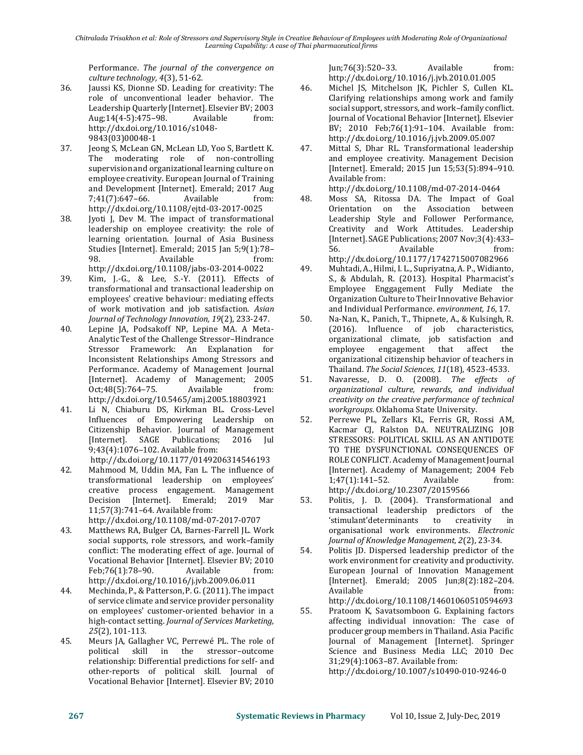Performance. *The journal of the convergence on culture technology, 4*(3), 51-62.

- 36. Jaussi KS, Dionne SD. Leading for creativity: The role of unconventional leader behavior. The Leadership Quarterly [Internet]. Elsevier BV; 2003 Aug;14(4-5):475–98. Available from: http://dx.doi.org/10.1016/s1048- 9843(03)00048-1
- 37. Jeong S, McLean GN, McLean LD, Yoo S, Bartlett K. The moderating role of non-controlling supervision and organizational learning culture on employee creativity. European Journal of Training and Development [Internet]. Emerald; 2017 Aug 7;41(7):647–66. Available from: http://dx.doi.org/10.1108/ejtd-03-2017-0025
- 38. Jyoti J, Dev M. The impact of transformational leadership on employee creativity: the role of learning orientation. Journal of Asia Business Studies [Internet]. Emerald; 2015 Jan 5;9(1):78– 98. Available from: http://dx.doi.org/10.1108/jabs-03-2014-0022
- 39. Kim, J.-G., & Lee, S.-Y. (2011). Effects of transformational and transactional leadership on employees' creative behaviour: mediating effects of work motivation and job satisfaction. *Asian Journal of Technology Innovation, 19*(2), 233-247.
- 40. Lepine JA, Podsakoff NP, Lepine MA. A Meta-Analytic Test of the Challenge Stressor–Hindrance Stressor Framework: An Explanation for Inconsistent Relationships Among Stressors and Performance. Academy of Management Journal [Internet]. Academy of Management; 2005 Oct;48(5):764–75. Available from: http://dx.doi.org/10.5465/amj.2005.18803921
- 41. Li N, Chiaburu DS, Kirkman BL. Cross-Level Influences of Empowering Leadership on Citizenship Behavior. Journal of Management [Internet]. SAGE Publications; 2016 Jul 9;43(4):1076–102. Available from:
	- http://dx.doi.org/10.1177/0149206314546193
- 42. Mahmood M, Uddin MA, Fan L. The influence of transformational leadership on employees' creative process engagement. Management Decision [Internet]. Emerald; 2019 Mar 11;57(3):741–64. Available from: http://dx.doi.org/10.1108/md-07-2017-0707
- 43. Matthews RA, Bulger CA, Barnes-Farrell JL. Work social supports, role stressors, and work–family conflict: The moderating effect of age. Journal of Vocational Behavior [Internet]. Elsevier BV; 2010 Feb;76(1):78-90. Available from: http://dx.doi.org/10.1016/j.jvb.2009.06.011
- 44. Mechinda, P., & Patterson, P. G. (2011). The impact of service climate and service provider personality on employees' customer-oriented behavior in a high-contact setting. *Journal of Services Marketing, 25*(2), 101-113.
- 45. Meurs JA, Gallagher VC, Perrewé PL. The role of political skill in the stressor–outcome relationship: Differential predictions for self- and other-reports of political skill. Journal of Vocational Behavior [Internet]. Elsevier BV; 2010

Jun;76(3):520–33. Available from: http://dx.doi.org/10.1016/j.jvb.2010.01.005

- 46. Michel JS, Mitchelson JK, Pichler S, Cullen KL. Clarifying relationships among work and family social support, stressors, and work–family conflict. Journal of Vocational Behavior [Internet]. Elsevier BV; 2010 Feb;76(1):91–104. Available from: http://dx.doi.org/10.1016/j.jvb.2009.05.007
- 47. Mittal S, Dhar RL. Transformational leadership and employee creativity. Management Decision [Internet]. Emerald; 2015 Jun 15;53(5):894–910. Available from:
- http://dx.doi.org/10.1108/md-07-2014-0464 48. Moss SA, Ritossa DA. The Impact of Goal Orientation on the Association between Leadership Style and Follower Performance, Creativity and Work Attitudes. Leadership [Internet]. SAGE Publications; 2007 Nov;3(4):433– 56. Available from:

http://dx.doi.org/10.1177/1742715007082966

- 49. Muhtadi, A., Hilmi, I. L., Supriyatna, A. P., Widianto, S., & Abdulah, R. (2013). Hospital Pharmacist's Employee Enggagement Fully Mediate the Organization Culture to Their Innovative Behavior and Individual Performance. *environment, 16*, 17.
- 50. Na-Nan, K., Panich, T., Thipnete, A., & Kulsingh, R. (2016). Influence of job characteristics, organizational climate, job satisfaction and employee engagement that affect the organizational citizenship behavior of teachers in Thailand. *The Social Sciences, 11*(18), 4523-4533.
- 51. Navaresse, D. O. (2008). *The effects of organizational culture, rewards, and individual creativity on the creative performance of technical workgroups.* Oklahoma State University.
- 52. Perrewe PL, Zellars KL, Ferris GR, Rossi AM, Kacmar CJ, Ralston DA. NEUTRALIZING JOB STRESSORS: POLITICAL SKILL AS AN ANTIDOTE TO THE DYSFUNCTIONAL CONSEQUENCES OF ROLE CONFLICT. Academy of Management Journal [Internet]. Academy of Management; 2004 Feb 1;47(1):141–52. Available from: http://dx.doi.org/10.2307/20159566
- 53. Politis, J. D. (2004). Transformational and transactional leadership predictors of the 'stimulant'determinants to creativity in organisational work environments. *Electronic Journal of Knowledge Management, 2*(2), 23-34.
- 54. Politis JD. Dispersed leadership predictor of the work environment for creativity and productivity. European Journal of Innovation Management [Internet]. Emerald; 2005 Jun;8(2):182–204. Available from: http://dx.doi.org/10.1108/14601060510594693
- 55. Pratoom K, Savatsomboon G. Explaining factors affecting individual innovation: The case of producer group members in Thailand. Asia Pacific Journal of Management [Internet]. Springer Science and Business Media LLC; 2010 Dec 31;29(4):1063–87. Available from: http://dx.doi.org/10.1007/s10490-010-9246-0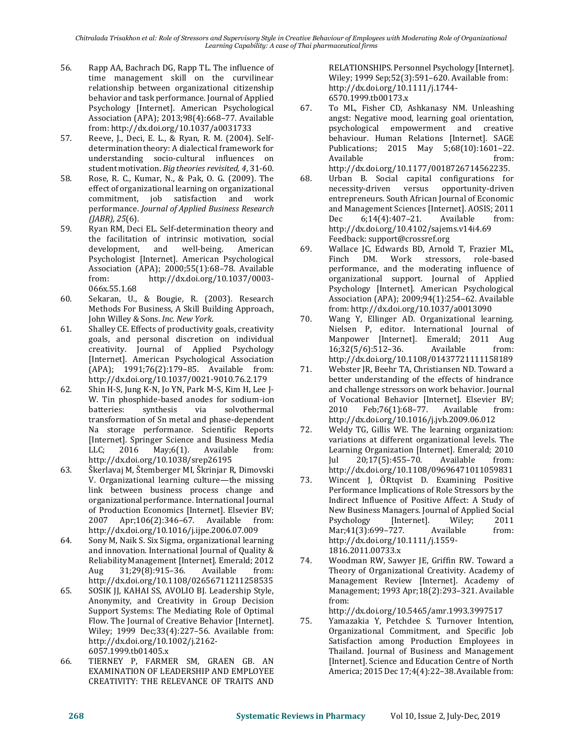- 56. Rapp AA, Bachrach DG, Rapp TL. The influence of time management skill on the curvilinear relationship between organizational citizenship behavior and task performance. Journal of Applied Psychology [Internet]. American Psychological Association (APA); 2013;98(4):668–77. Available from: http://dx.doi.org/10.1037/a0031733
- 57. Reeve, J., Deci, E. L., & Ryan, R. M. (2004). Selfdetermination theory: A dialectical framework for understanding socio-cultural influences on student motivation. *Big theories revisited, 4*, 31-60.
- 58. Rose, R. C., Kumar, N., & Pak, O. G. (2009). The effect of organizational learning on organizational commitment, job satisfaction and work performance. *Journal of Applied Business Research (JABR), 25*(6).
- 59. Ryan RM, Deci EL. Self-determination theory and the facilitation of intrinsic motivation, social development, and well-being. American Psychologist [Internet]. American Psychological Association (APA); 2000;55(1):68–78. Available from: http://dx.doi.org/10.1037/0003- 066x.55.1.68
- 60. Sekaran, U., & Bougie, R. (2003). Research Methods For Business, A Skill Building Approach, John Willey & Sons. *Inc. New York*.
- 61. Shalley CE. Effects of productivity goals, creativity goals, and personal discretion on individual creativity. Journal of Applied Psychology [Internet]. American Psychological Association (APA); 1991;76(2):179–85. Available from: http://dx.doi.org/10.1037/0021-9010.76.2.179
- 62. Shin H-S, Jung K-N, Jo YN, Park M-S, Kim H, Lee J-W. Tin phosphide-based anodes for sodium-ion batteries: synthesis via solvothermal transformation of Sn metal and phase-dependent Na storage performance. Scientific Reports [Internet]. Springer Science and Business Media LLC; 2016 May;6(1). Available from: http://dx.doi.org/10.1038/srep26195
- 63. Škerlavaj M, Štemberger MI, Škrinjar R, Dimovski V. Organizational learning culture—the missing link between business process change and organizational performance. International Journal of Production Economics [Internet]. Elsevier BV; 2007 Apr;106(2):346–67. Available from: http://dx.doi.org/10.1016/j.ijpe.2006.07.009
- 64. Sony M, Naik S. Six Sigma, organizational learning and innovation. International Journal of Quality & Reliability Management [Internet]. Emerald; 2012 Aug 31;29(8):915–36. Available from: http://dx.doi.org/10.1108/02656711211258535
- 65. SOSIK JJ, KAHAI SS, AVOLIO BJ. Leadership Style, Anonymity, and Creativity in Group Decision Support Systems: The Mediating Role of Optimal Flow. The Journal of Creative Behavior [Internet]. Wiley; 1999 Dec;33(4):227–56. Available from: http://dx.doi.org/10.1002/j.2162- 6057.1999.tb01405.x
- 66. TIERNEY P, FARMER SM, GRAEN GB. AN EXAMINATION OF LEADERSHIP AND EMPLOYEE CREATIVITY: THE RELEVANCE OF TRAITS AND

RELATIONSHIPS. Personnel Psychology [Internet]. Wiley; 1999 Sep;52(3):591–620. Available from: http://dx.doi.org/10.1111/j.1744- 6570.1999.tb00173.x

- 67. To ML, Fisher CD, Ashkanasy NM. Unleashing angst: Negative mood, learning goal orientation, psychological empowerment and creative behaviour. Human Relations [Internet]. SAGE Publications; 2015 May 5;68(10):1601–22. Available from: http://dx.doi.org/10.1177/0018726714562235.
- 68. Urban B. Social capital configurations for necessity-driven versus opportunity-driven entrepreneurs. South African Journal of Economic and Management Sciences [Internet]. AOSIS; 2011 Dec 6;14(4):407–21. Available from: http://dx.doi.org/10.4102/sajems.v14i4.69 Feedback: support@crossref.org
- 69. Wallace JC, Edwards BD, Arnold T, Frazier ML, Finch DM. Work stressors, role-based performance, and the moderating influence of organizational support. Journal of Applied Psychology [Internet]. American Psychological Association (APA); 2009;94(1):254–62. Available from: http://dx.doi.org/10.1037/a0013090
- 70. Wang Y, Ellinger AD. Organizational learning. Nielsen P, editor. International Journal of Manpower [Internet]. Emerald; 2011 Aug 16;32(5/6):512–36. Available from: http://dx.doi.org/10.1108/01437721111158189
- 71. Webster JR, Beehr TA, Christiansen ND. Toward a better understanding of the effects of hindrance and challenge stressors on work behavior. Journal of Vocational Behavior [Internet]. Elsevier BV; 2010 Feb;76(1):68–77. Available from: http://dx.doi.org/10.1016/j.jvb.2009.06.012
- 72. Weldy TG, Gillis WE. The learning organization: variations at different organizational levels. The Learning Organization [Internet]. Emerald; 2010 Jul 20;17(5):455–70. Available from: http://dx.doi.org/10.1108/09696471011059831
- 73. Wincent J, ÖRtqvist D. Examining Positive Performance Implications of Role Stressors by the Indirect Influence of Positive Affect: A Study of New Business Managers. Journal of Applied Social Psychology [Internet]. Wiley; 2011 Mar;41(3):699-727. Available from: http://dx.doi.org/10.1111/j.1559- 1816.2011.00733.x
- 74. Woodman RW, Sawyer JE, Griffin RW. Toward a Theory of Organizational Creativity. Academy of Management Review [Internet]. Academy of Management; 1993 Apr;18(2):293–321. Available from:

http://dx.doi.org/10.5465/amr.1993.3997517

75. Yamazakia Y, Petchdee S. Turnover Intention, Organizational Commitment, and Specific Job Satisfaction among Production Employees in Thailand. Journal of Business and Management [Internet]. Science and Education Centre of North America; 2015 Dec 17;4(4):22–38. Available from: